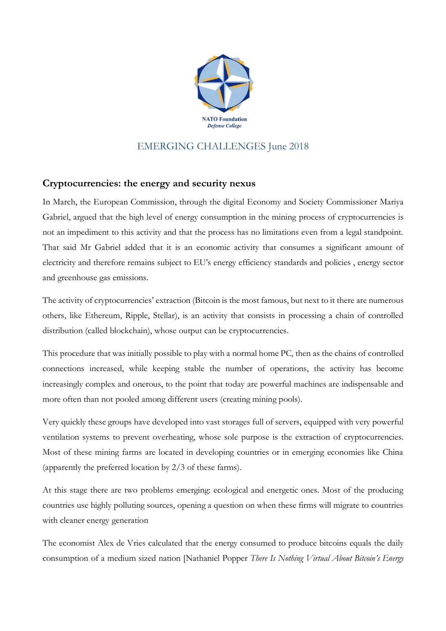

## EMERGING CHALLENGES June 2018

## **Cryptocurrencies: the energy and security nexus**

In March, the European Commission, through the digital Economy and Society Commissioner Mariya Gabriel, argued that the high level of energy consumption in the mining process of cryptocurrencies is not an impediment to this activity and that the process has no limitations even from a legal standpoint. That said Mr Gabriel added that it is an economic activity that consumes a significant amount of electricity and therefore remains subject to EU's energy efficiency standards and policies , energy sector and greenhouse gas emissions.

The activity of cryptocurrencies' extraction (Bitcoin is the most famous, but next to it there are numerous others, like Ethereum, Ripple, Stellar), is an activity that consists in processing a chain of controlled distribution (called blockchain), whose output can be cryptocurrencies.

This procedure that was initially possible to play with a normal home PC, then as the chains of controlled connections increased, while keeping stable the number of operations, the activity has become increasingly complex and onerous, to the point that today are powerful machines are indispensable and more often than not pooled among different users (creating mining pools).

Very quickly these groups have developed into vast storages full of servers, equipped with very powerful ventilation systems to prevent overheating, whose sole purpose is the extraction of cryptocurrencies. Most of these mining farms are located in developing countries or in emerging economies like China (apparently the preferred location by 2/3 of these farms).

At this stage there are two problems emerging: ecological and energetic ones. Most of the producing countries use highly polluting sources, opening a question on when these firms will migrate to countries with cleaner energy generation

The economist Alex de Vries calculated that the energy consumed to produce bitcoins equals the daily consumption of a medium sized nation [Nathaniel Popper *There Is Nothing Virtual About Bitcoin's Energy*